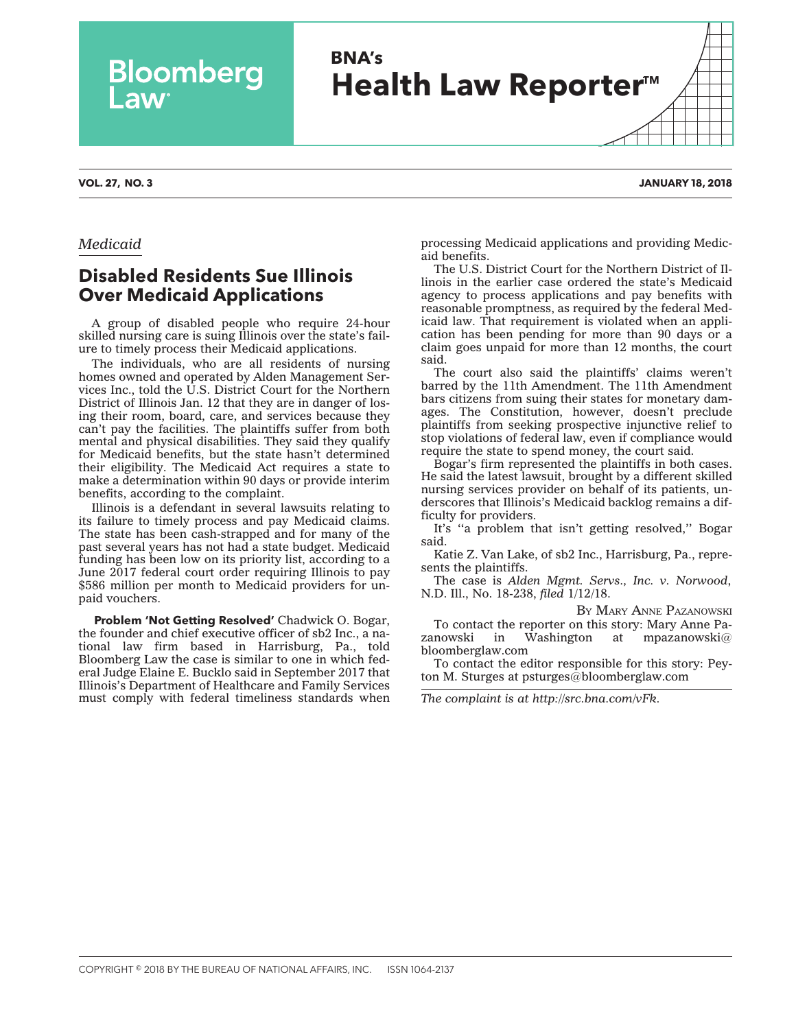## **BNA's Health Law Reporter<sup>™</sup>**

## *Medicaid*

## **Disabled Residents Sue Illinois Over Medicaid Applications**

Bloomberg

A group of disabled people who require 24-hour skilled nursing care is suing Illinois over the state's failure to timely process their Medicaid applications.

The individuals, who are all residents of nursing homes owned and operated by Alden Management Services Inc., told the U.S. District Court for the Northern District of Illinois Jan. 12 that they are in danger of losing their room, board, care, and services because they can't pay the facilities. The plaintiffs suffer from both mental and physical disabilities. They said they qualify for Medicaid benefits, but the state hasn't determined their eligibility. The Medicaid Act requires a state to make a determination within 90 days or provide interim benefits, according to the complaint.

Illinois is a defendant in several lawsuits relating to its failure to timely process and pay Medicaid claims. The state has been cash-strapped and for many of the past several years has not had a state budget. Medicaid funding has been low on its priority list, according to a June 2017 federal court order requiring Illinois to pay \$586 million per month to Medicaid providers for unpaid vouchers.

**Problem 'Not Getting Resolved'** Chadwick O. Bogar, the founder and chief executive officer of sb2 Inc., a national law firm based in Harrisburg, Pa., told Bloomberg Law the case is similar to one in which federal Judge Elaine E. Bucklo said in September 2017 that Illinois's Department of Healthcare and Family Services must comply with federal timeliness standards when processing Medicaid applications and providing Medicaid benefits.

The U.S. District Court for the Northern District of Illinois in the earlier case ordered the state's Medicaid agency to process applications and pay benefits with reasonable promptness, as required by the federal Medicaid law. That requirement is violated when an application has been pending for more than 90 days or a claim goes unpaid for more than 12 months, the court said.

The court also said the plaintiffs' claims weren't barred by the 11th Amendment. The 11th Amendment bars citizens from suing their states for monetary damages. The Constitution, however, doesn't preclude plaintiffs from seeking prospective injunctive relief to stop violations of federal law, even if compliance would require the state to spend money, the court said.

Bogar's firm represented the plaintiffs in both cases. He said the latest lawsuit, brought by a different skilled nursing services provider on behalf of its patients, underscores that Illinois's Medicaid backlog remains a difficulty for providers.

It's ''a problem that isn't getting resolved,'' Bogar said.

Katie Z. Van Lake, of sb2 Inc., Harrisburg, Pa., represents the plaintiffs.

The case is *Alden Mgmt. Servs., Inc. v. Norwood*, N.D. Ill., No. 18-238, *filed* 1/12/18.

BY MARY ANNE [PAZANOWSKI](mailto:mpazanowski@bloomberglaw.com)

To contact the reporter on this story: Mary Anne Pazanowski in Washington at [mpazanowski@](mailto:mpazanowski@bloomberglaw.com) [bloomberglaw.com](mailto:mpazanowski@bloomberglaw.com)

To contact the editor responsible for this story: Peyton M. Sturges at [psturges@bloomberglaw.com](mailto:psturges@bloomberglaw.com)

*The complaint is at [http://src.bna.com/vFk.](http://src.bna.com/vFk)*